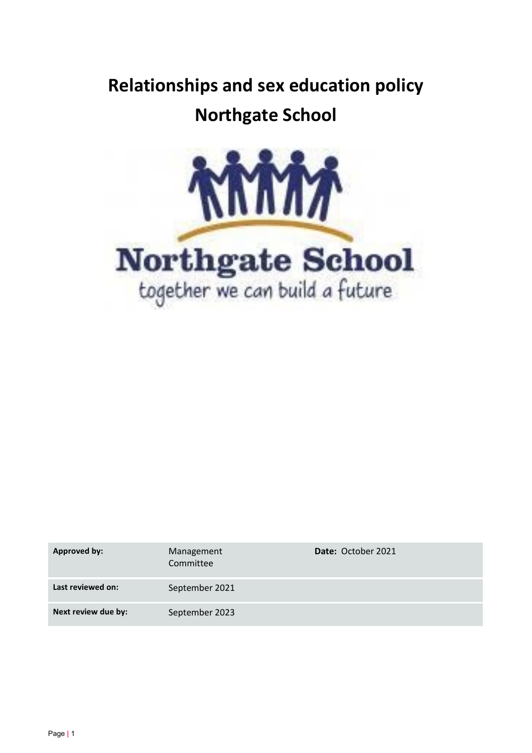# **Relationships and sex education policy Northgate School**



| <b>Approved by:</b> | Management<br>Committee | Date: October 2021 |
|---------------------|-------------------------|--------------------|
| Last reviewed on:   | September 2021          |                    |
| Next review due by: | September 2023          |                    |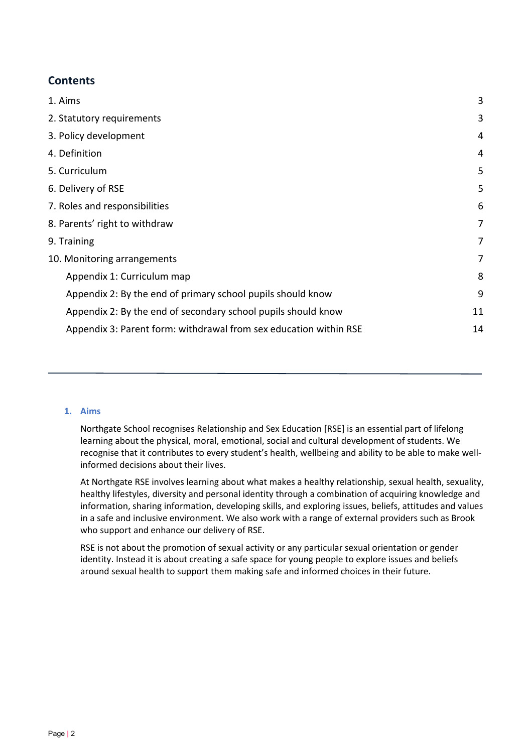# **Contents**

| 1. Aims                                                           | 3  |
|-------------------------------------------------------------------|----|
| 2. Statutory requirements                                         | 3  |
| 3. Policy development                                             | 4  |
| 4. Definition                                                     | 4  |
| 5. Curriculum                                                     | 5  |
| 6. Delivery of RSE                                                | 5  |
| 7. Roles and responsibilities                                     | 6  |
| 8. Parents' right to withdraw                                     | 7  |
| 9. Training                                                       | 7  |
| 10. Monitoring arrangements                                       | 7  |
| Appendix 1: Curriculum map                                        | 8  |
| Appendix 2: By the end of primary school pupils should know       | 9  |
| Appendix 2: By the end of secondary school pupils should know     | 11 |
| Appendix 3: Parent form: withdrawal from sex education within RSE | 14 |

# <span id="page-1-0"></span>**1. Aims**

Northgate School recognises Relationship and Sex Education [RSE] is an essential part of lifelong learning about the physical, moral, emotional, social and cultural development of students. We recognise that it contributes to every student's health, wellbeing and ability to be able to make wellinformed decisions about their lives.

At Northgate RSE involves learning about what makes a healthy relationship, sexual health, sexuality, healthy lifestyles, diversity and personal identity through a combination of acquiring knowledge and information, sharing information, developing skills, and exploring issues, beliefs, attitudes and values in a safe and inclusive environment. We also work with a range of external providers such as Brook who support and enhance our delivery of RSE.

RSE is not about the promotion of sexual activity or any particular sexual orientation or gender identity. Instead it is about creating a safe space for young people to explore issues and beliefs around sexual health to support them making safe and informed choices in their future.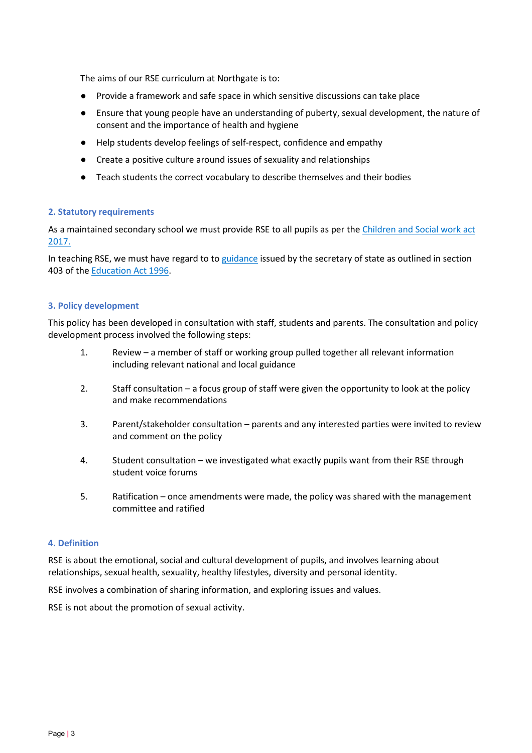The aims of our RSE curriculum at Northgate is to:

- Provide a framework and safe space in which sensitive discussions can take place
- Ensure that young people have an understanding of puberty, sexual development, the nature of consent and the importance of health and hygiene
- Help students develop feelings of self-respect, confidence and empathy
- Create a positive culture around issues of sexuality and relationships
- Teach students the correct vocabulary to describe themselves and their bodies

### <span id="page-2-0"></span>**2. Statutory requirements**

As a maintained secondary school we must provide RSE to all pupils as per the Children and Social work act [2017.](http://www.legislation.gov.uk/ukpga/2017/16/section/34/enacted)

In teaching RSE, we must have regard to to [guidance](https://www.gov.uk/government/consultations/relationships-and-sex-education-and-health-education) issued by the secretary of state as outlined in section 403 of the [Education Act 1996.](http://www.legislation.gov.uk/ukpga/1996/56/contents)

#### <span id="page-2-1"></span>**3. Policy development**

This policy has been developed in consultation with staff, students and parents. The consultation and policy development process involved the following steps:

- 1. Review a member of staff or working group pulled together all relevant information including relevant national and local guidance
- 2. Staff consultation a focus group of staff were given the opportunity to look at the policy and make recommendations
- 3. Parent/stakeholder consultation parents and any interested parties were invited to review and comment on the policy
- 4. Student consultation we investigated what exactly pupils want from their RSE through student voice forums
- 5. Ratification once amendments were made, the policy was shared with the management committee and ratified

#### **4. Definition**

RSE is about the emotional, social and cultural development of pupils, and involves learning about relationships, sexual health, sexuality, healthy lifestyles, diversity and personal identity.

RSE involves a combination of sharing information, and exploring issues and values.

RSE is not about the promotion of sexual activity.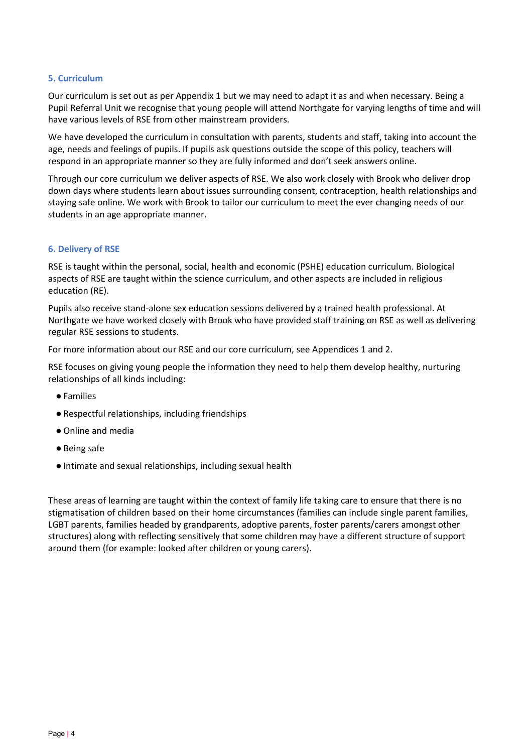### <span id="page-3-0"></span>**5. Curriculum**

Our curriculum is set out as per Appendix 1 but we may need to adapt it as and when necessary. Being a Pupil Referral Unit we recognise that young people will attend Northgate for varying lengths of time and will have various levels of RSE from other mainstream providers.

We have developed the curriculum in consultation with parents, students and staff, taking into account the age, needs and feelings of pupils. If pupils ask questions outside the scope of this policy, teachers will respond in an appropriate manner so they are fully informed and don't seek answers online.

Through our core curriculum we deliver aspects of RSE. We also work closely with Brook who deliver drop down days where students learn about issues surrounding consent, contraception, health relationships and staying safe online. We work with Brook to tailor our curriculum to meet the ever changing needs of our students in an age appropriate manner.

#### <span id="page-3-1"></span>**6. Delivery of RSE**

RSE is taught within the personal, social, health and economic (PSHE) education curriculum. Biological aspects of RSE are taught within the science curriculum, and other aspects are included in religious education (RE).

Pupils also receive stand-alone sex education sessions delivered by a trained health professional. At Northgate we have worked closely with Brook who have provided staff training on RSE as well as delivering regular RSE sessions to students.

For more information about our RSE and our core curriculum, see Appendices 1 and 2.

RSE focuses on giving young people the information they need to help them develop healthy, nurturing relationships of all kinds including:

- Families
- Respectful relationships, including friendships
- Online and media
- Being safe
- Intimate and sexual relationships, including sexual health

<span id="page-3-2"></span>These areas of learning are taught within the context of family life taking care to ensure that there is no stigmatisation of children based on their home circumstances (families can include single parent families, LGBT parents, families headed by grandparents, adoptive parents, foster parents/carers amongst other structures) along with reflecting sensitively that some children may have a different structure of support around them (for example: looked after children or young carers).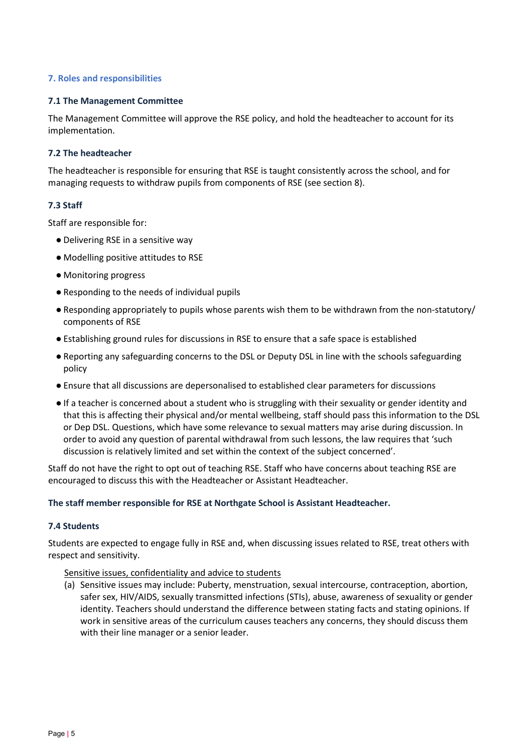## **7. Roles and responsibilities**

#### **7.1 The Management Committee**

The Management Committee will approve the RSE policy, and hold the headteacher to account for its implementation.

#### **7.2 The headteacher**

The headteacher is responsible for ensuring that RSE is taught consistently across the school, and for managing requests to withdraw pupils from components of RSE (see section 8).

### **7.3 Staff**

Staff are responsible for:

- Delivering RSE in a sensitive way
- Modelling positive attitudes to RSE
- Monitoring progress
- Responding to the needs of individual pupils
- Responding appropriately to pupils whose parents wish them to be withdrawn from the non-statutory/ components of RSE
- Establishing ground rules for discussions in RSE to ensure that a safe space is established
- Reporting any safeguarding concerns to the DSL or Deputy DSL in line with the schools safeguarding policy
- Ensure that all discussions are depersonalised to established clear parameters for discussions
- If a teacher is concerned about a student who is struggling with their sexuality or gender identity and that this is affecting their physical and/or mental wellbeing, staff should pass this information to the DSL or Dep DSL. Questions, which have some relevance to sexual matters may arise during discussion. In order to avoid any question of parental withdrawal from such lessons, the law requires that 'such discussion is relatively limited and set within the context of the subject concerned'.

Staff do not have the right to opt out of teaching RSE. Staff who have concerns about teaching RSE are encouraged to discuss this with the Headteacher or Assistant Headteacher.

#### **The staff member responsible for RSE at Northgate School is Assistant Headteacher.**

#### **7.4 Students**

Students are expected to engage fully in RSE and, when discussing issues related to RSE, treat others with respect and sensitivity.

#### Sensitive issues, confidentiality and advice to students

(a) Sensitive issues may include: Puberty, menstruation, sexual intercourse, contraception, abortion, safer sex, HIV/AIDS, sexually transmitted infections (STIs), abuse, awareness of sexuality or gender identity. Teachers should understand the difference between stating facts and stating opinions. If work in sensitive areas of the curriculum causes teachers any concerns, they should discuss them with their line manager or a senior leader.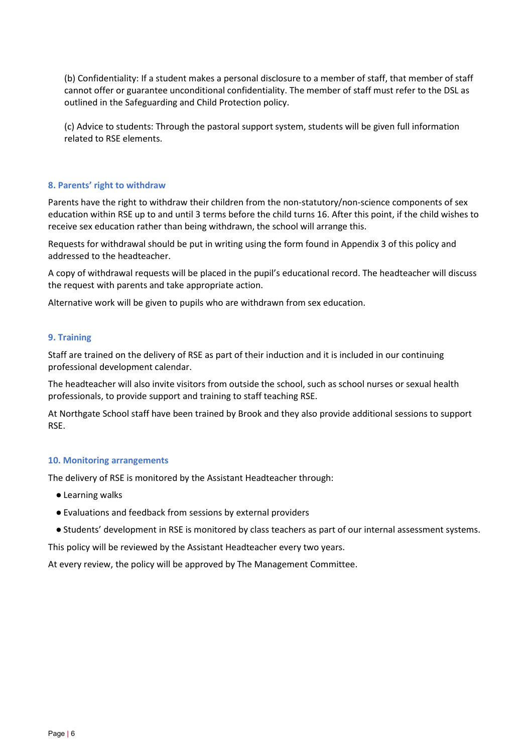(b) Confidentiality: If a student makes a personal disclosure to a member of staff, that member of staff cannot offer or guarantee unconditional confidentiality. The member of staff must refer to the DSL as outlined in the Safeguarding and Child Protection policy.

(c) Advice to students: Through the pastoral support system, students will be given full information related to RSE elements.

#### <span id="page-5-0"></span>**8. Parents' right to withdraw**

Parents have the right to withdraw their children from the non-statutory/non-science components of sex education within RSE up to and until 3 terms before the child turns 16. After this point, if the child wishes to receive sex education rather than being withdrawn, the school will arrange this.

Requests for withdrawal should be put in writing using the form found in Appendix 3 of this policy and addressed to the headteacher.

A copy of withdrawal requests will be placed in the pupil's educational record. The headteacher will discuss the request with parents and take appropriate action.

<span id="page-5-1"></span>Alternative work will be given to pupils who are withdrawn from sex education.

#### **9. Training**

Staff are trained on the delivery of RSE as part of their induction and it is included in our continuing professional development calendar.

The headteacher will also invite visitors from outside the school, such as school nurses or sexual health professionals, to provide support and training to staff teaching RSE.

At Northgate School staff have been trained by Brook and they also provide additional sessions to support RSE.

#### <span id="page-5-2"></span>**10. Monitoring arrangements**

The delivery of RSE is monitored by the Assistant Headteacher through:

- Learning walks
- Evaluations and feedback from sessions by external providers
- Students' development in RSE is monitored by class teachers as part of our internal assessment systems.

This policy will be reviewed by the Assistant Headteacher every two years.

At every review, the policy will be approved by The Management Committee.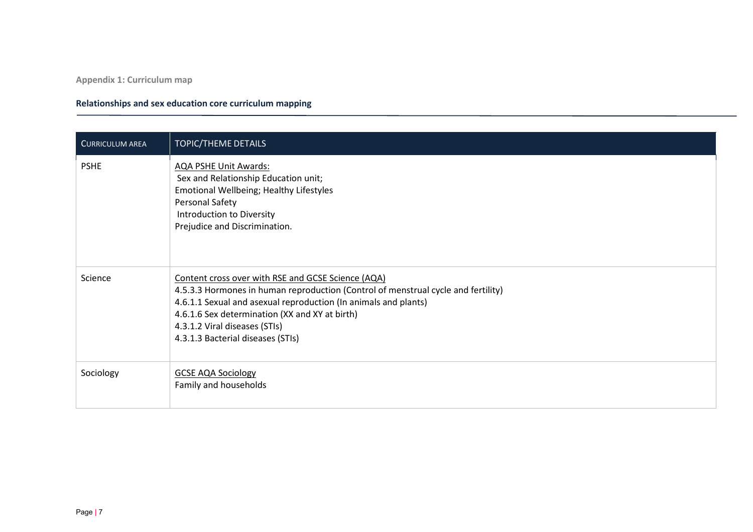**Appendix 1: Curriculum map**

## **Relationships and sex education core curriculum mapping**

<span id="page-6-1"></span><span id="page-6-0"></span>

| <b>CURRICULUM AREA</b> | TOPIC/THEME DETAILS                                                                                                                                                                                                                                                                                                                |
|------------------------|------------------------------------------------------------------------------------------------------------------------------------------------------------------------------------------------------------------------------------------------------------------------------------------------------------------------------------|
| <b>PSHE</b>            | <b>AQA PSHE Unit Awards:</b><br>Sex and Relationship Education unit;<br>Emotional Wellbeing; Healthy Lifestyles<br>Personal Safety<br>Introduction to Diversity<br>Prejudice and Discrimination.                                                                                                                                   |
| Science                | Content cross over with RSE and GCSE Science (AQA)<br>4.5.3.3 Hormones in human reproduction (Control of menstrual cycle and fertility)<br>4.6.1.1 Sexual and asexual reproduction (In animals and plants)<br>4.6.1.6 Sex determination (XX and XY at birth)<br>4.3.1.2 Viral diseases (STIs)<br>4.3.1.3 Bacterial diseases (STIs) |
| Sociology              | <b>GCSE AQA Sociology</b><br>Family and households                                                                                                                                                                                                                                                                                 |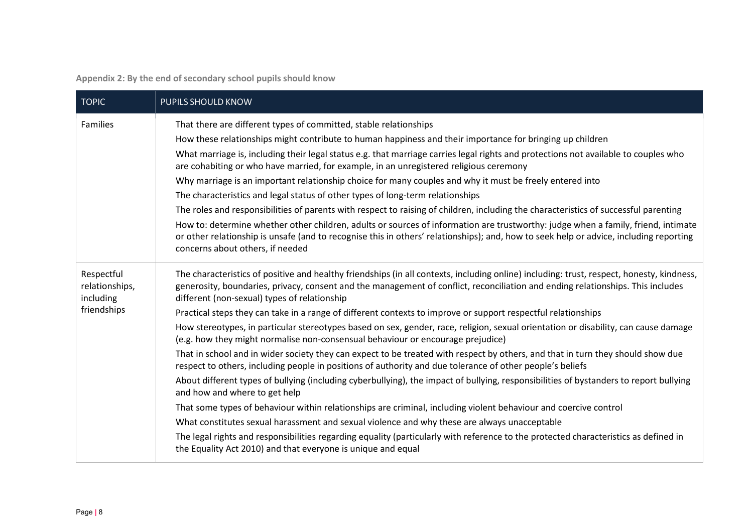**Appendix 2: By the end of secondary school pupils should know**

| <b>TOPIC</b>                              | <b>PUPILS SHOULD KNOW</b>                                                                                                                                                                                                                                                                                                                  |
|-------------------------------------------|--------------------------------------------------------------------------------------------------------------------------------------------------------------------------------------------------------------------------------------------------------------------------------------------------------------------------------------------|
| Families                                  | That there are different types of committed, stable relationships                                                                                                                                                                                                                                                                          |
|                                           | How these relationships might contribute to human happiness and their importance for bringing up children<br>What marriage is, including their legal status e.g. that marriage carries legal rights and protections not available to couples who<br>are cohabiting or who have married, for example, in an unregistered religious ceremony |
|                                           | Why marriage is an important relationship choice for many couples and why it must be freely entered into                                                                                                                                                                                                                                   |
|                                           | The characteristics and legal status of other types of long-term relationships                                                                                                                                                                                                                                                             |
|                                           | The roles and responsibilities of parents with respect to raising of children, including the characteristics of successful parenting                                                                                                                                                                                                       |
|                                           | How to: determine whether other children, adults or sources of information are trustworthy: judge when a family, friend, intimate<br>or other relationship is unsafe (and to recognise this in others' relationships); and, how to seek help or advice, including reporting<br>concerns about others, if needed                            |
| Respectful<br>relationships,<br>including | The characteristics of positive and healthy friendships (in all contexts, including online) including: trust, respect, honesty, kindness,<br>generosity, boundaries, privacy, consent and the management of conflict, reconciliation and ending relationships. This includes<br>different (non-sexual) types of relationship               |
| friendships                               | Practical steps they can take in a range of different contexts to improve or support respectful relationships                                                                                                                                                                                                                              |
|                                           | How stereotypes, in particular stereotypes based on sex, gender, race, religion, sexual orientation or disability, can cause damage<br>(e.g. how they might normalise non-consensual behaviour or encourage prejudice)                                                                                                                     |
|                                           | That in school and in wider society they can expect to be treated with respect by others, and that in turn they should show due<br>respect to others, including people in positions of authority and due tolerance of other people's beliefs                                                                                               |
|                                           | About different types of bullying (including cyberbullying), the impact of bullying, responsibilities of bystanders to report bullying<br>and how and where to get help                                                                                                                                                                    |
|                                           | That some types of behaviour within relationships are criminal, including violent behaviour and coercive control                                                                                                                                                                                                                           |
|                                           | What constitutes sexual harassment and sexual violence and why these are always unacceptable                                                                                                                                                                                                                                               |
|                                           | The legal rights and responsibilities regarding equality (particularly with reference to the protected characteristics as defined in<br>the Equality Act 2010) and that everyone is unique and equal                                                                                                                                       |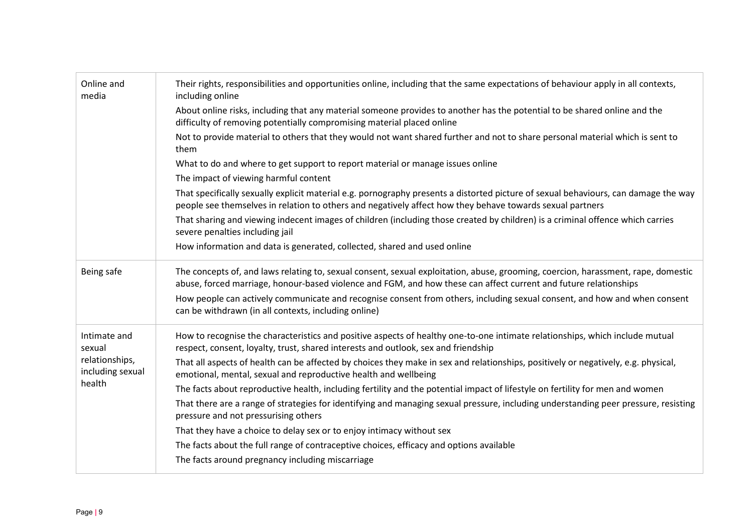| Their rights, responsibilities and opportunities online, including that the same expectations of behaviour apply in all contexts,<br>including online                                                                                                 |
|-------------------------------------------------------------------------------------------------------------------------------------------------------------------------------------------------------------------------------------------------------|
| About online risks, including that any material someone provides to another has the potential to be shared online and the<br>difficulty of removing potentially compromising material placed online                                                   |
| Not to provide material to others that they would not want shared further and not to share personal material which is sent to<br>them                                                                                                                 |
| What to do and where to get support to report material or manage issues online                                                                                                                                                                        |
| The impact of viewing harmful content                                                                                                                                                                                                                 |
| That specifically sexually explicit material e.g. pornography presents a distorted picture of sexual behaviours, can damage the way<br>people see themselves in relation to others and negatively affect how they behave towards sexual partners      |
| That sharing and viewing indecent images of children (including those created by children) is a criminal offence which carries<br>severe penalties including jail                                                                                     |
| How information and data is generated, collected, shared and used online                                                                                                                                                                              |
| The concepts of, and laws relating to, sexual consent, sexual exploitation, abuse, grooming, coercion, harassment, rape, domestic<br>abuse, forced marriage, honour-based violence and FGM, and how these can affect current and future relationships |
| How people can actively communicate and recognise consent from others, including sexual consent, and how and when consent<br>can be withdrawn (in all contexts, including online)                                                                     |
| How to recognise the characteristics and positive aspects of healthy one-to-one intimate relationships, which include mutual<br>respect, consent, loyalty, trust, shared interests and outlook, sex and friendship                                    |
| That all aspects of health can be affected by choices they make in sex and relationships, positively or negatively, e.g. physical,<br>emotional, mental, sexual and reproductive health and wellbeing                                                 |
| The facts about reproductive health, including fertility and the potential impact of lifestyle on fertility for men and women                                                                                                                         |
| That there are a range of strategies for identifying and managing sexual pressure, including understanding peer pressure, resisting<br>pressure and not pressurising others                                                                           |
| That they have a choice to delay sex or to enjoy intimacy without sex                                                                                                                                                                                 |
| The facts about the full range of contraceptive choices, efficacy and options available                                                                                                                                                               |
| The facts around pregnancy including miscarriage                                                                                                                                                                                                      |
|                                                                                                                                                                                                                                                       |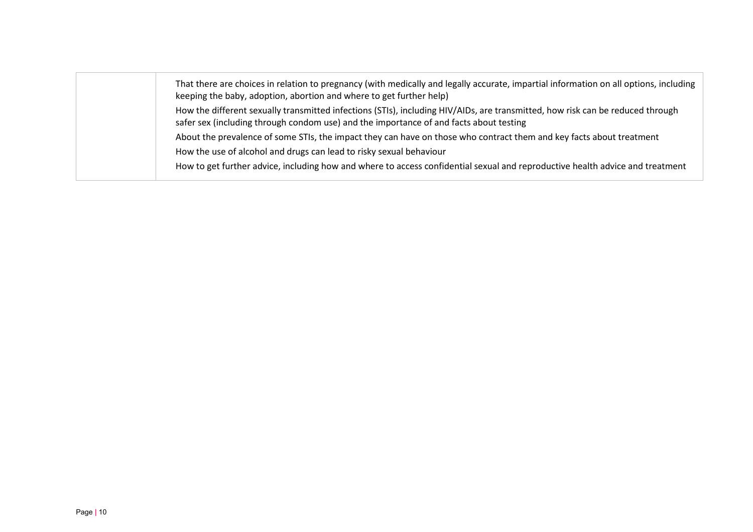| That there are choices in relation to pregnancy (with medically and legally accurate, impartial information on all options, including<br>keeping the baby, adoption, abortion and where to get further help)             |
|--------------------------------------------------------------------------------------------------------------------------------------------------------------------------------------------------------------------------|
| How the different sexually transmitted infections (STIs), including HIV/AIDs, are transmitted, how risk can be reduced through<br>safer sex (including through condom use) and the importance of and facts about testing |
| About the prevalence of some STIs, the impact they can have on those who contract them and key facts about treatment                                                                                                     |
| How the use of alcohol and drugs can lead to risky sexual behaviour                                                                                                                                                      |
| How to get further advice, including how and where to access confidential sexual and reproductive health advice and treatment                                                                                            |